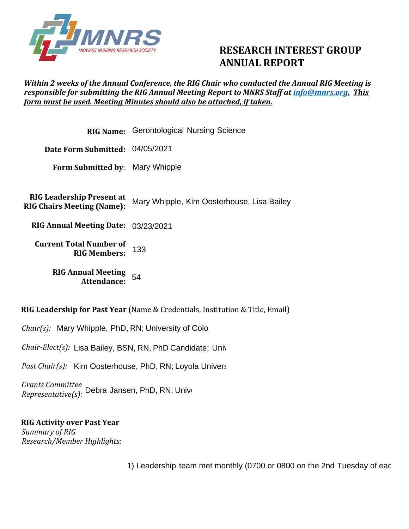

## **RESEARCH INTEREST GROUP ANNUAL REPORT**

## *Within 2 weeks of the Annual Conference, the RIG Chair who conducted the Annual RIG Meeting is responsible for submitting the RIG Annual Meeting Report to MNRS Staff at [info@mnrs.org.](mailto:info@mnrs.org) This form must be used. Meeting Minutes should also be attached, if taken.*

|                                                                       | <b>RIG Name:</b> Gerontological Nursing Science |  |  |
|-----------------------------------------------------------------------|-------------------------------------------------|--|--|
| Date Form Submitted: 04/05/2021                                       |                                                 |  |  |
| Form Submitted by: Mary Whipple                                       |                                                 |  |  |
|                                                                       |                                                 |  |  |
| <b>RIG Leadership Present at</b><br><b>RIG Chairs Meeting (Name):</b> | Mary Whipple, Kim Oosterhouse, Lisa Bailey      |  |  |
| RIG Annual Meeting Date: 03/23/2021                                   |                                                 |  |  |
| <b>Current Total Number of</b><br><b>RIG Members:</b>                 | 133                                             |  |  |
| <b>RIG Annual Meeting</b><br><b>Attendance:</b>                       | 54                                              |  |  |

**RIG Leadership for Past Year** (Name & Credentials, Institution & Title, Email)

*Chair(s):* Mary Whipple, PhD, RN; University of Colorado, Postdoctoral Fellow; mary.whipple.gduanschutz.edu/Cuan

*Chair-Elect(s):* Lisa Bailey, BSN, RN, PhD Candidate; University of Oklahoma Health Sciences Center; lisa-bailey

Past Chair(s): Kim Oosterhouse, PhD, RN; Loyola Univers

*Grants Committee Past Chair(s): K*im Oosterhouse, PhD, RN; Loyola Univers<br>*Grants Committee*<br>*Representative(s):* Debra Jansen, PhD, RN; Unive

## **RIG Activity over Past Year**  *Summary of RIG Research/Member Highlights:*

1) Leadership team met monthly (0700 or 0800 on the 2nd Tuesday of eac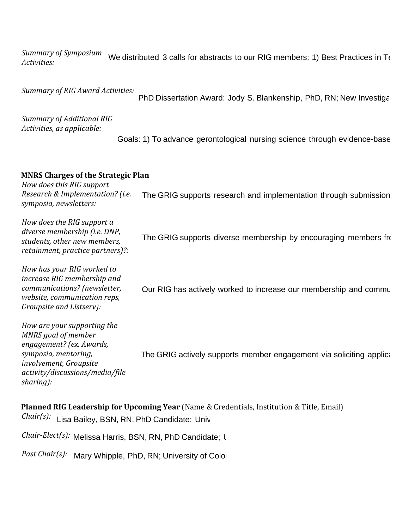*Summary of Symposium Activities:*  We distributed 3 calls for abstracts to our RIG members: 1) Best Practices in T $\epsilon$ 

*Summary of RIG Award Activities:* 

PhD Dissertation Award: Jody S. Blankenship, PhD, RN; New Investigation Award: Jody S. Blankenship, PhD, RN; New Investigation

*Summary of Additional RIG Activities, as applicable:*

Goals: 1) To advance gerontological nursing science through evidence-base

## **MNRS Charges of the Strategic Plan**

*How does this RIG support Research & Implementation? (i.e. symposia, newsletters:* The GRIG supports research and implementation through submission

*How does the RIG support a diverse membership (i.e. DNP, students, other new members, retainment, practice partners)?: How has your RIG worked to increase RIG membership and communications? (newsletter, website, communication reps, Groupsite and Listserv): How are your supporting the MNRS goal of member engagement? (ex. Awards, symposia, mentoring, involvement, Groupsite activity/discussions/media/file sharing):* The GRIG supports diverse membership by encouraging members fro<br><br>Our RIG has actively worked to increase our membership and commu The GRIG actively supports member engagement via soliciting applic:

**Planned RIG Leadership for Upcoming Year** (Name & Credentials, Institution & Title, Email) *Chair(s):* Lisa Bailey, BSN, RN, PhD Candidate; University of Oklahoma Health Sciences Center; lisa-

*Chair-Elect(s): Melissa Harris, BSN, RN, PhD Candidate; University of Michigan; melision* 

*Past Chair(s):* Mary Whipple, PhD, RN; University of Colorado, Postdoctoral Fellow; mary.whipple.gdu